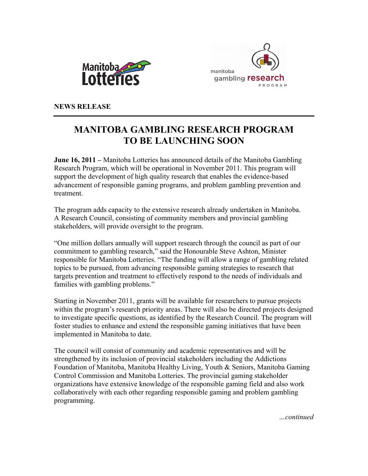



**NEWS RELEASE** 

# **MANITOBA GAMBLING RESEARCH PROGRAM TO BE LAUNCHING SOON**

**June 16, 2011 –** Manitoba Lotteries has announced details of the Manitoba Gambling Research Program, which will be operational in November 2011. This program will support the development of high quality research that enables the evidence-based advancement of responsible gaming programs, and problem gambling prevention and treatment.

The program adds capacity to the extensive research already undertaken in Manitoba. A Research Council, consisting of community members and provincial gambling stakeholders, will provide oversight to the program.

"One million dollars annually will support research through the council as part of our commitment to gambling research," said the Honourable Steve Ashton, Minister responsible for Manitoba Lotteries. "The funding will allow a range of gambling related topics to be pursued, from advancing responsible gaming strategies to research that targets prevention and treatment to effectively respond to the needs of individuals and families with gambling problems."

Starting in November 2011, grants will be available for researchers to pursue projects within the program's research priority areas. There will also be directed projects designed to investigate specific questions, as identified by the Research Council. The program will foster studies to enhance and extend the responsible gaming initiatives that have been implemented in Manitoba to date.

The council will consist of community and academic representatives and will be strengthened by its inclusion of provincial stakeholders including the Addictions Foundation of Manitoba, Manitoba Healthy Living, Youth & Seniors, Manitoba Gaming Control Commission and Manitoba Lotteries. The provincial gaming stakeholder organizations have extensive knowledge of the responsible gaming field and also work collaboratively with each other regarding responsible gaming and problem gambling programming.

*…continued*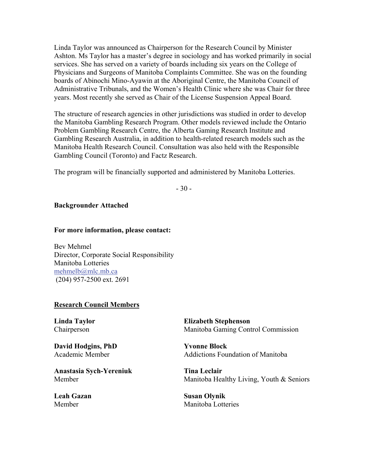Linda Taylor was announced as Chairperson for the Research Council by Minister Ashton. Ms Taylor has a master's degree in sociology and has worked primarily in social services. She has served on a variety of boards including six years on the College of Physicians and Surgeons of Manitoba Complaints Committee. She was on the founding boards of Abinochi Mino-Ayawin at the Aboriginal Centre, the Manitoba Council of Administrative Tribunals, and the Women's Health Clinic where she was Chair for three years. Most recently she served as Chair of the License Suspension Appeal Board.

The structure of research agencies in other jurisdictions was studied in order to develop the Manitoba Gambling Research Program. Other models reviewed include the Ontario Problem Gambling Research Centre, the Alberta Gaming Research Institute and Gambling Research Australia, in addition to health-related research models such as the Manitoba Health Research Council. Consultation was also held with the Responsible Gambling Council (Toronto) and Factz Research.

The program will be financially supported and administered by Manitoba Lotteries.

- 30 -

### **Backgrounder Attached**

#### **For more information, please contact:**

Bev Mehmel Director, Corporate Social Responsibility Manitoba Lotteries [mehmelb@mlc.mb.ca](mailto:mehmelb@mlc.mb.ca) (204) 957-2500 ext. 2691

#### **Research Council Members**

**Linda Taylor**  Chairperson

**David Hodgins, PhD**  Academic Member

**Anastasia Sych-Yereniuk**  Member

**Leah Gazan**  Member

**Elizabeth Stephenson**  Manitoba Gaming Control Commission

**Yvonne Block**  Addictions Foundation of Manitoba

**Tina Leclair**  Manitoba Healthy Living, Youth & Seniors

**Susan Olynik**  Manitoba Lotteries